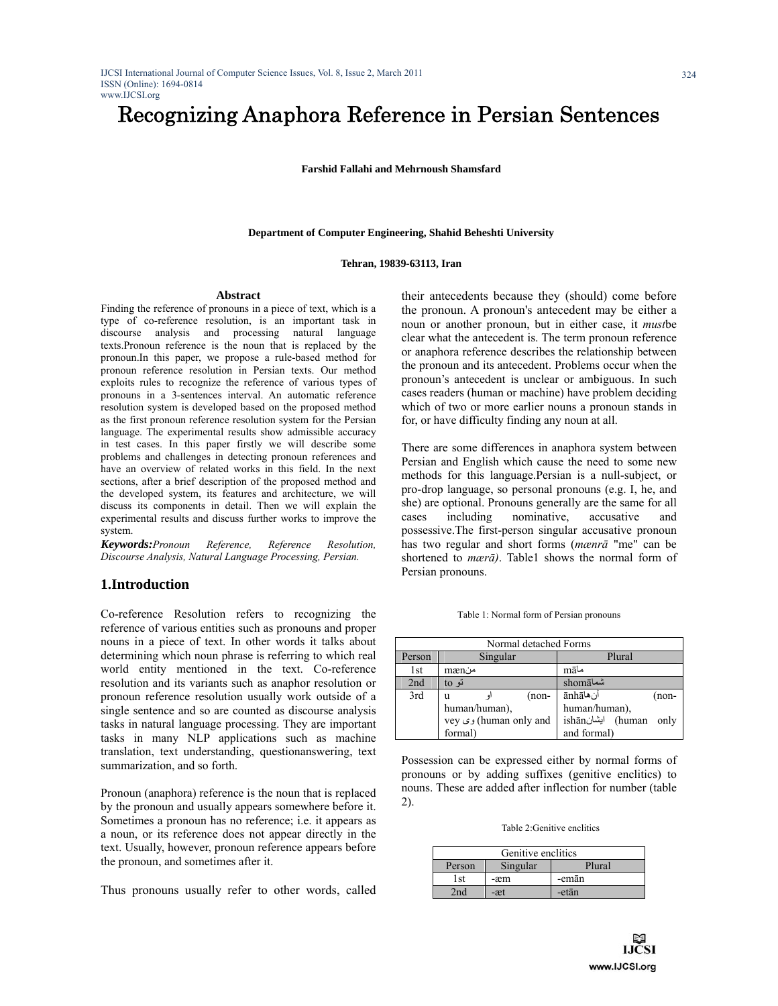# Recognizing Anaphora Reference in Persian Sentences

**Farshid Fallahi and Mehrnoush Shamsfard** 

#### **Department of Computer Engineering, Shahid Beheshti University**

#### **Tehran, 19839-63113, Iran**

#### **Abstract**

Finding the reference of pronouns in a piece of text, which is a type of co-reference resolution, is an important task in discourse analysis and processing natural language texts.Pronoun reference is the noun that is replaced by the pronoun.In this paper, we propose a rule-based method for pronoun reference resolution in Persian texts. Our method exploits rules to recognize the reference of various types of pronouns in a 3-sentences interval. An automatic reference resolution system is developed based on the proposed method as the first pronoun reference resolution system for the Persian language. The experimental results show admissible accuracy in test cases. In this paper firstly we will describe some problems and challenges in detecting pronoun references and have an overview of related works in this field. In the next sections, after a brief description of the proposed method and the developed system, its features and architecture, we will discuss its components in detail. Then we will explain the experimental results and discuss further works to improve the system.

*Keywords:Pronoun Reference, Reference Resolution, Discourse Analysis, Natural Language Processing, Persian.* 

## **1.Introduction**

Co-reference Resolution refers to recognizing the reference of various entities such as pronouns and proper nouns in a piece of text. In other words it talks about determining which noun phrase is referring to which real world entity mentioned in the text. Co-reference resolution and its variants such as anaphor resolution or pronoun reference resolution usually work outside of a single sentence and so are counted as discourse analysis tasks in natural language processing. They are important tasks in many NLP applications such as machine translation, text understanding, questionanswering, text summarization, and so forth.

Pronoun (anaphora) reference is the noun that is replaced by the pronoun and usually appears somewhere before it. Sometimes a pronoun has no reference; i.e. it appears as a noun, or its reference does not appear directly in the text. Usually, however, pronoun reference appears before the pronoun, and sometimes after it.

Thus pronouns usually refer to other words, called

their antecedents because they (should) come before the pronoun. A pronoun's antecedent may be either a noun or another pronoun, but in either case, it *must*be clear what the antecedent is. The term pronoun reference or anaphora reference describes the relationship between the pronoun and its antecedent. Problems occur when the pronoun's antecedent is unclear or ambiguous. In such cases readers (human or machine) have problem deciding which of two or more earlier nouns a pronoun stands in for, or have difficulty finding any noun at all.

There are some differences in anaphora system between Persian and English which cause the need to some new methods for this language.Persian is a null-subject, or pro-drop language, so personal pronouns (e.g. I, he, and she) are optional. Pronouns generally are the same for all cases including nominative, accusative and possessive.The first-person singular accusative pronoun has two regular and short forms (*mænrā* "me" can be shortened to *mærā)*. Table1 shows the normal form of Persian pronouns.

Table 1: Normal form of Persian pronouns

| Normal detached Forms |                        |                           |  |  |  |
|-----------------------|------------------------|---------------------------|--|--|--|
| Person                | Singular               | Plural                    |  |  |  |
| 1st                   | mænن                   | māما                      |  |  |  |
| 2nd                   | تو to                  | shomā                     |  |  |  |
| 3rd                   | $(non-$<br>u           | آنهاānhā<br>$(non-$       |  |  |  |
|                       | human/human),          | human/human),             |  |  |  |
|                       | vey ری (human only and | ishān) ايشانishān<br>only |  |  |  |
|                       | formal)                | and formal)               |  |  |  |

Possession can be expressed either by normal forms of pronouns or by adding suffixes (genitive enclitics) to nouns. These are added after inflection for number (table 2).

Table 2:Genitive enclitics

| Genitive enclitics           |     |       |  |  |  |
|------------------------------|-----|-------|--|--|--|
| Singular<br>Plural<br>Person |     |       |  |  |  |
| 1st                          | -æm | -emān |  |  |  |
| -etān<br>-æt                 |     |       |  |  |  |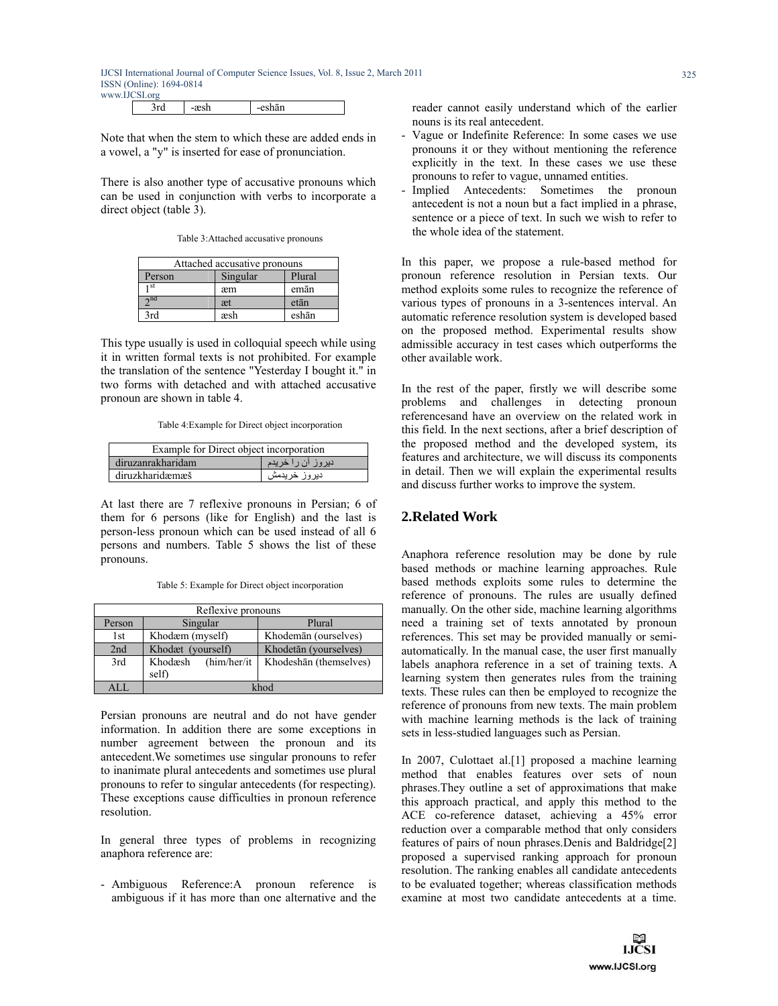|  | ما حد | eshān<br>------ |
|--|-------|-----------------|
|  |       |                 |

Note that when the stem to which these are added ends in a vowel, a "y" is inserted for ease of pronunciation.

There is also another type of accusative pronouns which can be used in conjunction with verbs to incorporate a direct object (table 3).

Table 3:Attached accusative pronouns

| Attached accusative pronouns |     |       |  |  |
|------------------------------|-----|-------|--|--|
| Plural<br>Singular<br>Person |     |       |  |  |
| 1 St                         | æm  | emān  |  |  |
| $\gamma$ nd                  | æt  | etān  |  |  |
| 3rd                          | æsh | eshān |  |  |

This type usually is used in colloquial speech while using it in written formal texts is not prohibited. For example the translation of the sentence "Yesterday I bought it." in two forms with detached and with attached accusative pronoun are shown in table 4.

Table 4:Example for Direct object incorporation

| Example for Direct object incorporation |               |  |  |  |
|-----------------------------------------|---------------|--|--|--|
| دیروز ان را خریدم<br>diruzanrakharidam  |               |  |  |  |
| diruzkharidæmæš                         | دير وز خريدمش |  |  |  |

At last there are 7 reflexive pronouns in Persian; 6 of them for 6 persons (like for English) and the last is person-less pronoun which can be used instead of all 6 persons and numbers. Table 5 shows the list of these pronouns.

Table 5: Example for Direct object incorporation

| Reflexive pronouns |                                  |                        |  |  |  |
|--------------------|----------------------------------|------------------------|--|--|--|
| Person             | Singular                         | Plural                 |  |  |  |
| 1st                | Khodæm (myself)                  | Khodemān (ourselves)   |  |  |  |
| 2nd                | Khodæt (yourself)                | Khodetān (yourselves)  |  |  |  |
| 3rd                | (him/her/it)<br>Khodæsh<br>self) | Khodeshān (themselves) |  |  |  |
| A L L              | khod                             |                        |  |  |  |

Persian pronouns are neutral and do not have gender information. In addition there are some exceptions in number agreement between the pronoun and its antecedent.We sometimes use singular pronouns to refer to inanimate plural antecedents and sometimes use plural pronouns to refer to singular antecedents (for respecting). These exceptions cause difficulties in pronoun reference resolution.

In general three types of problems in recognizing anaphora reference are:

- Ambiguous Reference:A pronoun reference is ambiguous if it has more than one alternative and the reader cannot easily understand which of the earlier nouns is its real antecedent.

- Vague or Indefinite Reference: In some cases we use pronouns it or they without mentioning the reference explicitly in the text. In these cases we use these pronouns to refer to vague, unnamed entities.
- Implied Antecedents: Sometimes the pronoun antecedent is not a noun but a fact implied in a phrase, sentence or a piece of text. In such we wish to refer to the whole idea of the statement.

In this paper, we propose a rule-based method for pronoun reference resolution in Persian texts. Our method exploits some rules to recognize the reference of various types of pronouns in a 3-sentences interval. An automatic reference resolution system is developed based on the proposed method. Experimental results show admissible accuracy in test cases which outperforms the other available work.

In the rest of the paper, firstly we will describe some problems and challenges in detecting pronoun referencesand have an overview on the related work in this field. In the next sections, after a brief description of the proposed method and the developed system, its features and architecture, we will discuss its components in detail. Then we will explain the experimental results and discuss further works to improve the system.

# **2.Related Work**

Anaphora reference resolution may be done by rule based methods or machine learning approaches. Rule based methods exploits some rules to determine the reference of pronouns. The rules are usually defined manually. On the other side, machine learning algorithms need a training set of texts annotated by pronoun references. This set may be provided manually or semiautomatically. In the manual case, the user first manually labels anaphora reference in a set of training texts. A learning system then generates rules from the training texts. These rules can then be employed to recognize the reference of pronouns from new texts. The main problem with machine learning methods is the lack of training sets in less-studied languages such as Persian.

In 2007, Culottaet al.[1] proposed a machine learning method that enables features over sets of noun phrases.They outline a set of approximations that make this approach practical, and apply this method to the ACE co-reference dataset, achieving a 45% error reduction over a comparable method that only considers features of pairs of noun phrases.Denis and Baldridge[2] proposed a supervised ranking approach for pronoun resolution. The ranking enables all candidate antecedents to be evaluated together; whereas classification methods examine at most two candidate antecedents at a time.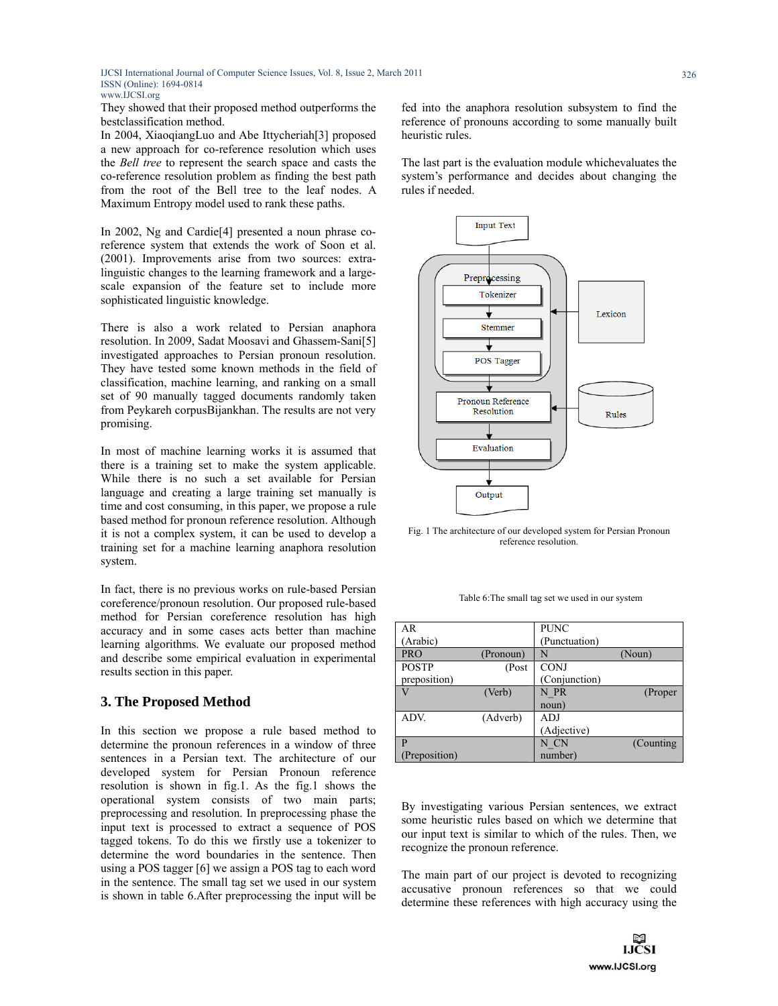They showed that their proposed method outperforms the bestclassification method.

In 2004, XiaoqiangLuo and Abe Ittycheriah[3] proposed a new approach for co-reference resolution which uses the *Bell tree* to represent the search space and casts the co-reference resolution problem as finding the best path from the root of the Bell tree to the leaf nodes. A Maximum Entropy model used to rank these paths.

In 2002, Ng and Cardie[4] presented a noun phrase coreference system that extends the work of Soon et al. (2001). Improvements arise from two sources: extralinguistic changes to the learning framework and a largescale expansion of the feature set to include more sophisticated linguistic knowledge.

There is also a work related to Persian anaphora resolution. In 2009, Sadat Moosavi and Ghassem-Sani[5] investigated approaches to Persian pronoun resolution. They have tested some known methods in the field of classification, machine learning, and ranking on a small set of 90 manually tagged documents randomly taken from Peykareh corpusBijankhan. The results are not very promising.

In most of machine learning works it is assumed that there is a training set to make the system applicable. While there is no such a set available for Persian language and creating a large training set manually is time and cost consuming, in this paper, we propose a rule based method for pronoun reference resolution. Although it is not a complex system, it can be used to develop a training set for a machine learning anaphora resolution system.

In fact, there is no previous works on rule-based Persian coreference/pronoun resolution. Our proposed rule-based method for Persian coreference resolution has high accuracy and in some cases acts better than machine learning algorithms. We evaluate our proposed method and describe some empirical evaluation in experimental results section in this paper.

## **3. The Proposed Method**

In this section we propose a rule based method to determine the pronoun references in a window of three sentences in a Persian text. The architecture of our developed system for Persian Pronoun reference resolution is shown in fig.1. As the fig.1 shows the operational system consists of two main parts; preprocessing and resolution. In preprocessing phase the input text is processed to extract a sequence of POS tagged tokens. To do this we firstly use a tokenizer to determine the word boundaries in the sentence. Then using a POS tagger [6] we assign a POS tag to each word in the sentence. The small tag set we used in our system is shown in table 6.After preprocessing the input will be fed into the anaphora resolution subsystem to find the reference of pronouns according to some manually built heuristic rules.

The last part is the evaluation module whichevaluates the system's performance and decides about changing the rules if needed.



Fig. 1 The architecture of our developed system for Persian Pronoun reference resolution.

Table 6:The small tag set we used in our system

| AR            |           | <b>PUNC</b>   |            |
|---------------|-----------|---------------|------------|
| (Arabic)      |           | (Punctuation) |            |
| <b>PRO</b>    | (Pronoun) | N             | (Noun)     |
| <b>POSTP</b>  | (Post     | <b>CONJ</b>   |            |
| preposition)  |           | (Conjunction) |            |
|               | (Verb)    | N PR          | (Proper    |
|               |           | noun)         |            |
| ADV.          | (Adverb)  | ADJ           |            |
|               |           | (Adjective)   |            |
| P             |           | N CN          | (Counting) |
| (Preposition) |           | number)       |            |

By investigating various Persian sentences, we extract some heuristic rules based on which we determine that our input text is similar to which of the rules. Then, we recognize the pronoun reference.

The main part of our project is devoted to recognizing accusative pronoun references so that we could determine these references with high accuracy using the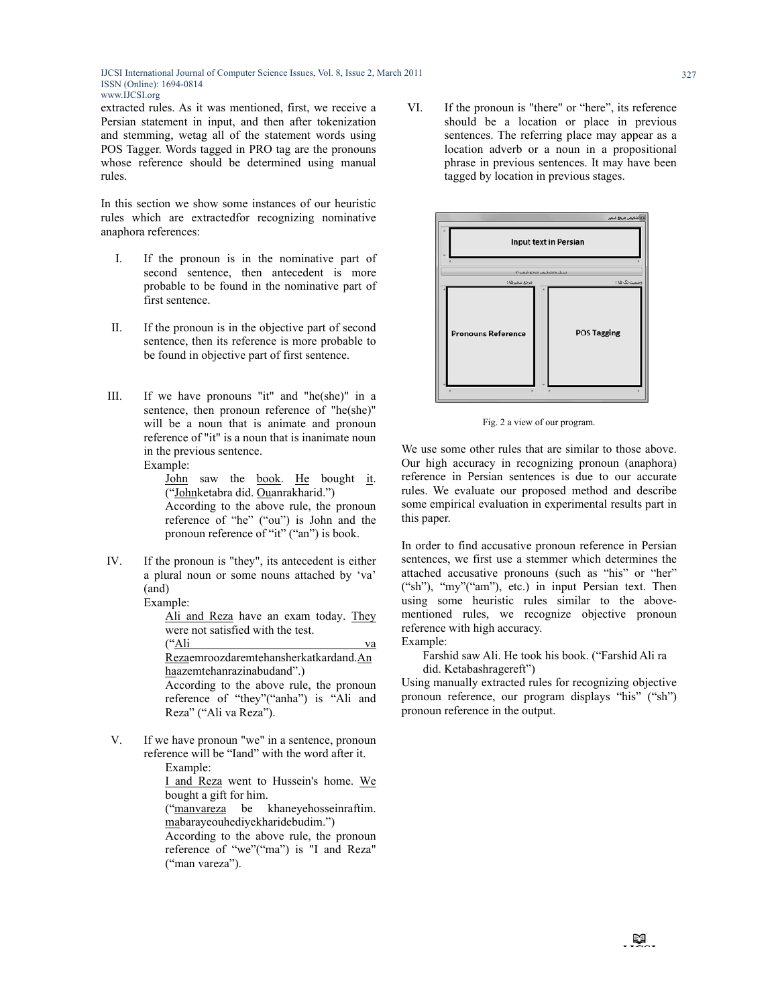extracted rules. As it was mentioned, first, we receive a Persian statement in input, and then after tokenization and stemming, wetag all of the statement words using POS Tagger. Words tagged in PRO tag are the pronouns whose reference should be determined using manual rules.

In this section we show some instances of our heuristic rules which are extractedfor recognizing nominative anaphora references:

- I. If the pronoun is in the nominative part of second sentence, then antecedent is more probable to be found in the nominative part of first sentence.
- II. If the pronoun is in the objective part of second sentence, then its reference is more probable to be found in objective part of first sentence.
- III. If we have pronouns "it" and "he(she)" in a sentence, then pronoun reference of "he(she)" will be a noun that is animate and pronoun reference of "it" is a noun that is inanimate noun in the previous sentence. Example:

John saw the book. He bought it. ("Johnketabra did. Ouanrakharid.") According to the above rule, the pronoun reference of "he" ("ou") is John and the pronoun reference of "it" ("an") is book.

IV. If the pronoun is "they", its antecedent is either a plural noun or some nouns attached by 'va' (and)

> Example: Ali and Reza have an exam today. They were not satisfied with the test. ("Ali va Rezaemroozdaremtehansherkatkardand.An haazemtehanrazinabudand".) According to the above rule, the pronoun reference of "they"("anha") is "Ali and Reza" ("Ali va Reza").

V. If we have pronoun "we" in a sentence, pronoun reference will be "Iand" with the word after it. Example:

I and Reza went to Hussein's home. We bought a gift for him.

("manvareza be khaneyehosseinraftim. mabarayeouhediyekharidebudim.")

According to the above rule, the pronoun reference of "we"("ma") is "I and Reza" ("man vareza").

VI. If the pronoun is "there" or "here", its reference should be a location or place in previous sentences. The referring place may appear as a location adverb or a noun in a propositional phrase in previous sentences. It may have been tagged by location in previous stages.



Fig. 2 a view of our program.

We use some other rules that are similar to those above. Our high accuracy in recognizing pronoun (anaphora) reference in Persian sentences is due to our accurate rules. We evaluate our proposed method and describe some empirical evaluation in experimental results part in this paper.

In order to find accusative pronoun reference in Persian sentences, we first use a stemmer which determines the attached accusative pronouns (such as "his" or "her" ("sh"), "my"("am"), etc.) in input Persian text. Then using some heuristic rules similar to the abovementioned rules, we recognize objective pronoun reference with high accuracy.

Example:

Farshid saw Ali. He took his book. ("Farshid Ali ra did. Ketabashragereft")

Using manually extracted rules for recognizing objective pronoun reference, our program displays "his" ("sh") pronoun reference in the output.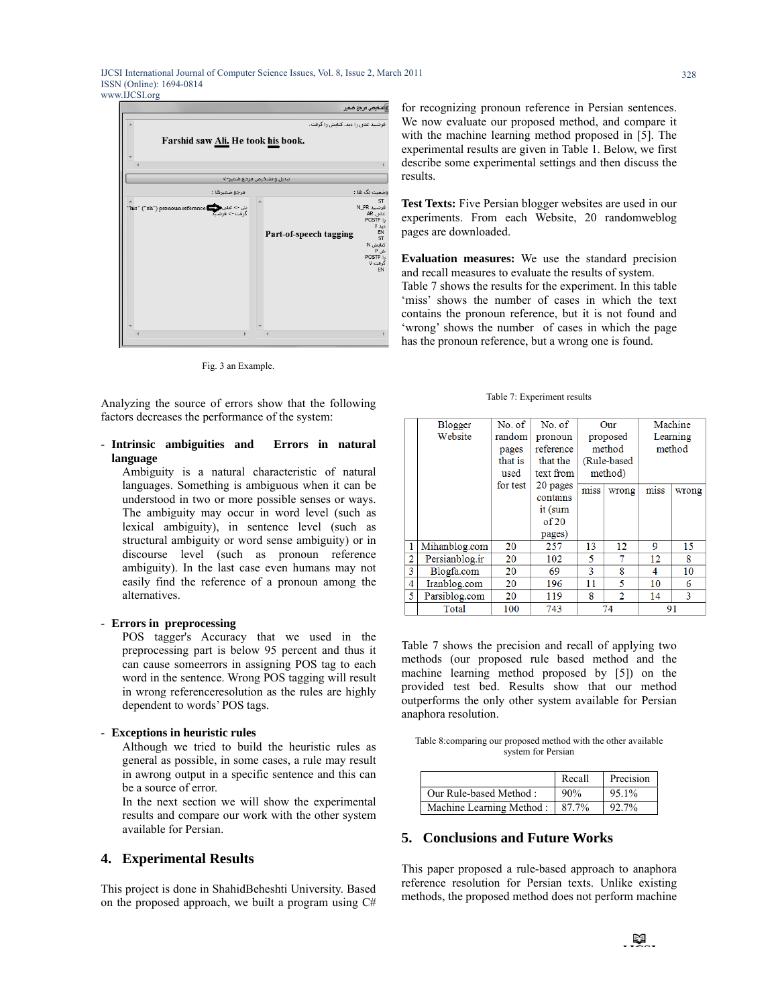

Fig. 3 an Example.

Analyzing the source of errors show that the following factors decreases the performance of the system:

#### - **Intrinsic ambiguities and Errors in natural language**

Ambiguity is a natural characteristic of natural languages. Something is ambiguous when it can be understood in two or more possible senses or ways. The ambiguity may occur in word level (such as lexical ambiguity), in sentence level (such as structural ambiguity or word sense ambiguity) or in discourse level (such as pronoun reference ambiguity). In the last case even humans may not easily find the reference of a pronoun among the alternatives.

#### - **Errors in preprocessing**

POS tagger's Accuracy that we used in the preprocessing part is below 95 percent and thus it can cause someerrors in assigning POS tag to each word in the sentence. Wrong POS tagging will result in wrong referenceresolution as the rules are highly dependent to words' POS tags.

#### - **Exceptions in heuristic rules**

Although we tried to build the heuristic rules as general as possible, in some cases, a rule may result in awrong output in a specific sentence and this can be a source of error.

In the next section we will show the experimental results and compare our work with the other system available for Persian.

# **4. Experimental Results**

This project is done in ShahidBeheshti University. Based on the proposed approach, we built a program using C# for recognizing pronoun reference in Persian sentences. We now evaluate our proposed method, and compare it with the machine learning method proposed in [5]. The experimental results are given in Table 1. Below, we first describe some experimental settings and then discuss the results.

**Test Texts:** Five Persian blogger websites are used in our experiments. From each Website, 20 randomweblog pages are downloaded.

**Evaluation measures:** We use the standard precision and recall measures to evaluate the results of system. Table 7 shows the results for the experiment. In this table 'miss' shows the number of cases in which the text contains the pronoun reference, but it is not found and 'wrong' shows the number of cases in which the page has the pronoun reference, but a wrong one is found.

#### Table 7: Experiment results

|                | <b>Blogger</b> | No. of   | No. of    | Our      |               | Machine  |       |
|----------------|----------------|----------|-----------|----------|---------------|----------|-------|
|                | Website        | random   | pronoun   | proposed |               | Learning |       |
|                |                | pages    | reference |          | method        | method   |       |
|                |                | that is  | that the  |          | (Rule-based)  |          |       |
|                |                | used     | text from |          | method)       |          |       |
|                |                | for test | 20 pages  | miss     |               | miss     |       |
|                |                |          | contains  |          | wrong         |          | wrong |
|                |                |          | it (sum   |          |               |          |       |
|                |                |          | of 20     |          |               |          |       |
|                |                |          | pages)    |          |               |          |       |
| $\mathbf{1}$   | Mihanblog.com  | 20       | 257       | 13       | 12            | 9        | 15    |
| $\overline{2}$ | Persianblog.ir | 20       | 102       | 5        |               | 12       | 8     |
| 3              | Blogfa.com     | 20       | 69        | 3        | 8             | 4        | 10    |
| $\overline{4}$ | Iranblog.com   | 20       | 196       | 11       | 5             | 10       | 6     |
| 5              | Parsiblog.com  | 20       | 119       | 8        | $\mathcal{D}$ | 14       | 3     |
|                | Total          | 100      | 743       | 74       |               |          | 91    |

Table 7 shows the precision and recall of applying two methods (our proposed rule based method and the machine learning method proposed by [5]) on the provided test bed. Results show that our method outperforms the only other system available for Persian anaphora resolution.

Table 8:comparing our proposed method with the other available system for Persian

|                          | Recall | Precision |
|--------------------------|--------|-----------|
| Our Rule-based Method:   | 90%    | 95.1%     |
| Machine Learning Method: | 87.7%  | 92.7%     |

# **5. Conclusions and Future Works**

This paper proposed a rule-based approach to anaphora reference resolution for Persian texts. Unlike existing methods, the proposed method does not perform machine